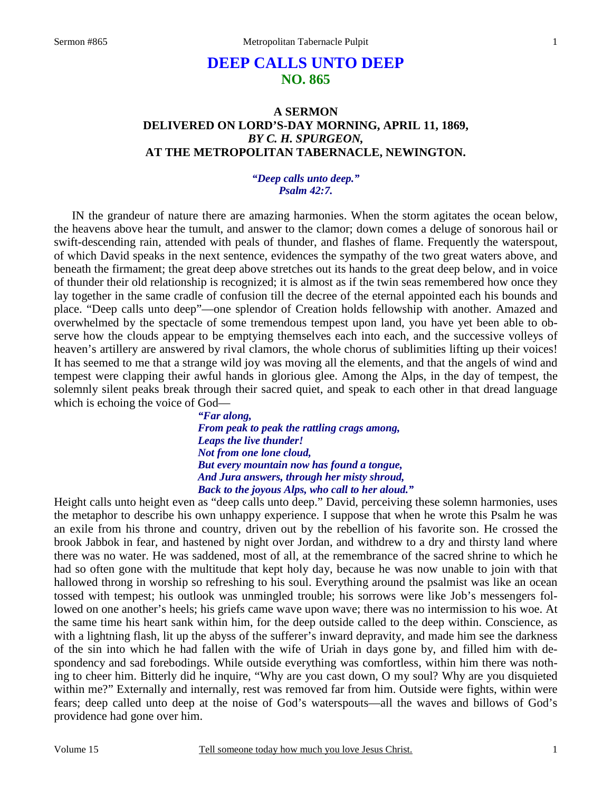# **DEEP CALLS UNTO DEEP NO. 865**

# **A SERMON DELIVERED ON LORD'S-DAY MORNING, APRIL 11, 1869,**  *BY C. H. SPURGEON,*  **AT THE METROPOLITAN TABERNACLE, NEWINGTON.**

### *"Deep calls unto deep." Psalm 42:7.*

IN the grandeur of nature there are amazing harmonies. When the storm agitates the ocean below, the heavens above hear the tumult, and answer to the clamor; down comes a deluge of sonorous hail or swift-descending rain, attended with peals of thunder, and flashes of flame. Frequently the waterspout, of which David speaks in the next sentence, evidences the sympathy of the two great waters above, and beneath the firmament; the great deep above stretches out its hands to the great deep below, and in voice of thunder their old relationship is recognized; it is almost as if the twin seas remembered how once they lay together in the same cradle of confusion till the decree of the eternal appointed each his bounds and place. "Deep calls unto deep"—one splendor of Creation holds fellowship with another. Amazed and overwhelmed by the spectacle of some tremendous tempest upon land, you have yet been able to observe how the clouds appear to be emptying themselves each into each, and the successive volleys of heaven's artillery are answered by rival clamors, the whole chorus of sublimities lifting up their voices! It has seemed to me that a strange wild joy was moving all the elements, and that the angels of wind and tempest were clapping their awful hands in glorious glee. Among the Alps, in the day of tempest, the solemnly silent peaks break through their sacred quiet, and speak to each other in that dread language which is echoing the voice of God—

> *"Far along, From peak to peak the rattling crags among, Leaps the live thunder! Not from one lone cloud, But every mountain now has found a tongue, And Jura answers, through her misty shroud, Back to the joyous Alps, who call to her aloud."*

Height calls unto height even as "deep calls unto deep." David, perceiving these solemn harmonies, uses the metaphor to describe his own unhappy experience. I suppose that when he wrote this Psalm he was an exile from his throne and country, driven out by the rebellion of his favorite son. He crossed the brook Jabbok in fear, and hastened by night over Jordan, and withdrew to a dry and thirsty land where there was no water. He was saddened, most of all, at the remembrance of the sacred shrine to which he had so often gone with the multitude that kept holy day, because he was now unable to join with that hallowed throng in worship so refreshing to his soul. Everything around the psalmist was like an ocean tossed with tempest; his outlook was unmingled trouble; his sorrows were like Job's messengers followed on one another's heels; his griefs came wave upon wave; there was no intermission to his woe. At the same time his heart sank within him, for the deep outside called to the deep within. Conscience, as with a lightning flash, lit up the abyss of the sufferer's inward depravity, and made him see the darkness of the sin into which he had fallen with the wife of Uriah in days gone by, and filled him with despondency and sad forebodings. While outside everything was comfortless, within him there was nothing to cheer him. Bitterly did he inquire, "Why are you cast down, O my soul? Why are you disquieted within me?" Externally and internally, rest was removed far from him. Outside were fights, within were fears; deep called unto deep at the noise of God's waterspouts—all the waves and billows of God's providence had gone over him.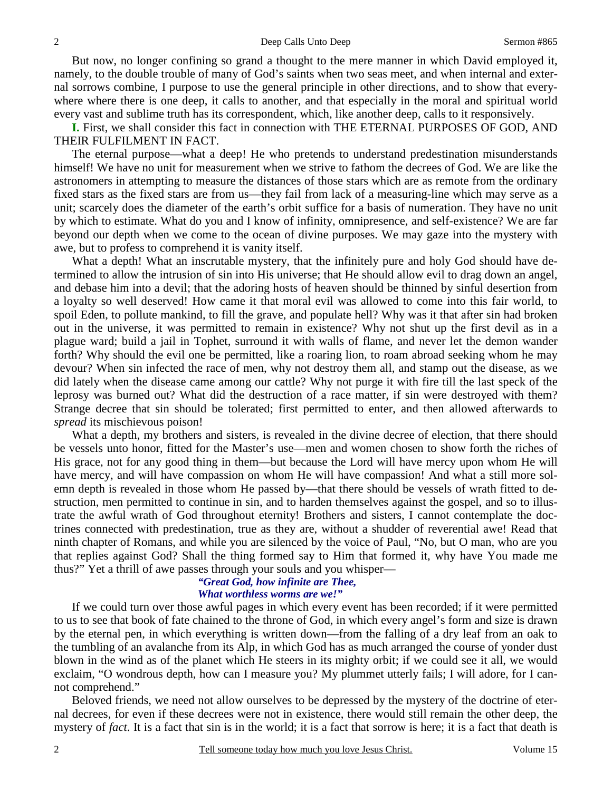But now, no longer confining so grand a thought to the mere manner in which David employed it, namely, to the double trouble of many of God's saints when two seas meet, and when internal and external sorrows combine, I purpose to use the general principle in other directions, and to show that everywhere where there is one deep, it calls to another, and that especially in the moral and spiritual world every vast and sublime truth has its correspondent, which, like another deep, calls to it responsively.

**I.** First, we shall consider this fact in connection with THE ETERNAL PURPOSES OF GOD, AND THEIR FULFILMENT IN FACT.

 The eternal purpose—what a deep! He who pretends to understand predestination misunderstands himself! We have no unit for measurement when we strive to fathom the decrees of God. We are like the astronomers in attempting to measure the distances of those stars which are as remote from the ordinary fixed stars as the fixed stars are from us—they fail from lack of a measuring-line which may serve as a unit; scarcely does the diameter of the earth's orbit suffice for a basis of numeration. They have no unit by which to estimate. What do you and I know of infinity, omnipresence, and self-existence? We are far beyond our depth when we come to the ocean of divine purposes. We may gaze into the mystery with awe, but to profess to comprehend it is vanity itself.

 What a depth! What an inscrutable mystery, that the infinitely pure and holy God should have determined to allow the intrusion of sin into His universe; that He should allow evil to drag down an angel, and debase him into a devil; that the adoring hosts of heaven should be thinned by sinful desertion from a loyalty so well deserved! How came it that moral evil was allowed to come into this fair world, to spoil Eden, to pollute mankind, to fill the grave, and populate hell? Why was it that after sin had broken out in the universe, it was permitted to remain in existence? Why not shut up the first devil as in a plague ward; build a jail in Tophet, surround it with walls of flame, and never let the demon wander forth? Why should the evil one be permitted, like a roaring lion, to roam abroad seeking whom he may devour? When sin infected the race of men, why not destroy them all, and stamp out the disease, as we did lately when the disease came among our cattle? Why not purge it with fire till the last speck of the leprosy was burned out? What did the destruction of a race matter, if sin were destroyed with them? Strange decree that sin should be tolerated; first permitted to enter, and then allowed afterwards to *spread* its mischievous poison!

 What a depth, my brothers and sisters, is revealed in the divine decree of election, that there should be vessels unto honor, fitted for the Master's use—men and women chosen to show forth the riches of His grace, not for any good thing in them—but because the Lord will have mercy upon whom He will have mercy, and will have compassion on whom He will have compassion! And what a still more solemn depth is revealed in those whom He passed by—that there should be vessels of wrath fitted to destruction, men permitted to continue in sin, and to harden themselves against the gospel, and so to illustrate the awful wrath of God throughout eternity! Brothers and sisters, I cannot contemplate the doctrines connected with predestination, true as they are, without a shudder of reverential awe! Read that ninth chapter of Romans, and while you are silenced by the voice of Paul, "No, but O man, who are you that replies against God? Shall the thing formed say to Him that formed it, why have You made me thus?" Yet a thrill of awe passes through your souls and you whisper—

## *"Great God, how infinite are Thee, What worthless worms are we!"*

 If we could turn over those awful pages in which every event has been recorded; if it were permitted to us to see that book of fate chained to the throne of God, in which every angel's form and size is drawn by the eternal pen, in which everything is written down—from the falling of a dry leaf from an oak to the tumbling of an avalanche from its Alp, in which God has as much arranged the course of yonder dust blown in the wind as of the planet which He steers in its mighty orbit; if we could see it all, we would exclaim, "O wondrous depth, how can I measure you? My plummet utterly fails; I will adore, for I cannot comprehend."

 Beloved friends, we need not allow ourselves to be depressed by the mystery of the doctrine of eternal decrees, for even if these decrees were not in existence, there would still remain the other deep, the mystery of *fact*. It is a fact that sin is in the world; it is a fact that sorrow is here; it is a fact that death is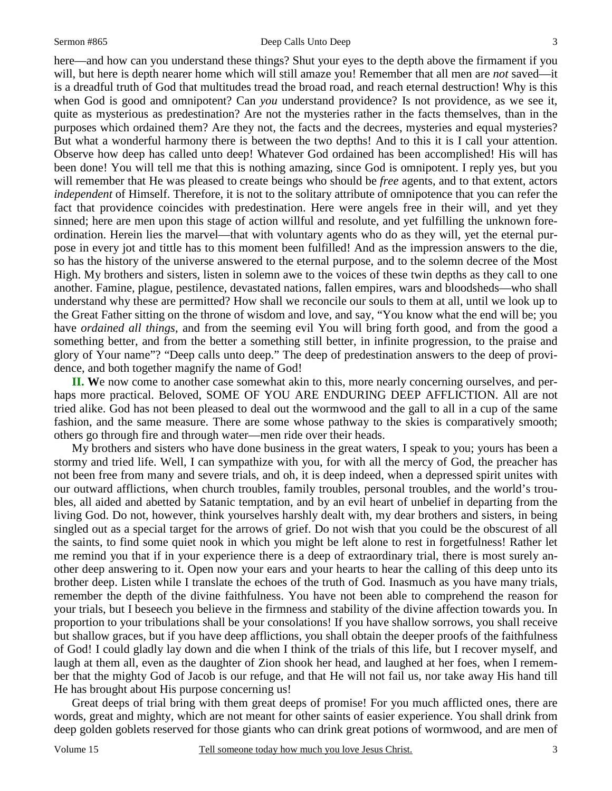#### Sermon #865 Deep Calls Unto Deep

here—and how can you understand these things? Shut your eyes to the depth above the firmament if you will, but here is depth nearer home which will still amaze you! Remember that all men are *not* saved—it is a dreadful truth of God that multitudes tread the broad road, and reach eternal destruction! Why is this when God is good and omnipotent? Can *you* understand providence? Is not providence, as we see it, quite as mysterious as predestination? Are not the mysteries rather in the facts themselves, than in the purposes which ordained them? Are they not, the facts and the decrees, mysteries and equal mysteries? But what a wonderful harmony there is between the two depths! And to this it is I call your attention. Observe how deep has called unto deep! Whatever God ordained has been accomplished! His will has been done! You will tell me that this is nothing amazing, since God is omnipotent. I reply yes, but you will remember that He was pleased to create beings who should be *free* agents, and to that extent, actors *independent* of Himself. Therefore, it is not to the solitary attribute of omnipotence that you can refer the fact that providence coincides with predestination. Here were angels free in their will, and yet they sinned; here are men upon this stage of action willful and resolute, and yet fulfilling the unknown foreordination. Herein lies the marvel—that with voluntary agents who do as they will, yet the eternal purpose in every jot and tittle has to this moment been fulfilled! And as the impression answers to the die, so has the history of the universe answered to the eternal purpose, and to the solemn decree of the Most High. My brothers and sisters, listen in solemn awe to the voices of these twin depths as they call to one another. Famine, plague, pestilence, devastated nations, fallen empires, wars and bloodsheds—who shall understand why these are permitted? How shall we reconcile our souls to them at all, until we look up to the Great Father sitting on the throne of wisdom and love, and say, "You know what the end will be; you have *ordained all things,* and from the seeming evil You will bring forth good, and from the good a something better, and from the better a something still better, in infinite progression, to the praise and glory of Your name"? "Deep calls unto deep." The deep of predestination answers to the deep of providence, and both together magnify the name of God!

**II. W**e now come to another case somewhat akin to this, more nearly concerning ourselves, and perhaps more practical. Beloved, SOME OF YOU ARE ENDURING DEEP AFFLICTION. All are not tried alike. God has not been pleased to deal out the wormwood and the gall to all in a cup of the same fashion, and the same measure. There are some whose pathway to the skies is comparatively smooth; others go through fire and through water—men ride over their heads.

 My brothers and sisters who have done business in the great waters, I speak to you; yours has been a stormy and tried life. Well, I can sympathize with you, for with all the mercy of God, the preacher has not been free from many and severe trials, and oh, it is deep indeed, when a depressed spirit unites with our outward afflictions, when church troubles, family troubles, personal troubles, and the world's troubles, all aided and abetted by Satanic temptation, and by an evil heart of unbelief in departing from the living God. Do not, however, think yourselves harshly dealt with, my dear brothers and sisters, in being singled out as a special target for the arrows of grief. Do not wish that you could be the obscurest of all the saints, to find some quiet nook in which you might be left alone to rest in forgetfulness! Rather let me remind you that if in your experience there is a deep of extraordinary trial, there is most surely another deep answering to it. Open now your ears and your hearts to hear the calling of this deep unto its brother deep. Listen while I translate the echoes of the truth of God. Inasmuch as you have many trials, remember the depth of the divine faithfulness. You have not been able to comprehend the reason for your trials, but I beseech you believe in the firmness and stability of the divine affection towards you. In proportion to your tribulations shall be your consolations! If you have shallow sorrows, you shall receive but shallow graces, but if you have deep afflictions, you shall obtain the deeper proofs of the faithfulness of God! I could gladly lay down and die when I think of the trials of this life, but I recover myself, and laugh at them all, even as the daughter of Zion shook her head, and laughed at her foes, when I remember that the mighty God of Jacob is our refuge, and that He will not fail us, nor take away His hand till He has brought about His purpose concerning us!

 Great deeps of trial bring with them great deeps of promise! For you much afflicted ones, there are words, great and mighty, which are not meant for other saints of easier experience. You shall drink from deep golden goblets reserved for those giants who can drink great potions of wormwood, and are men of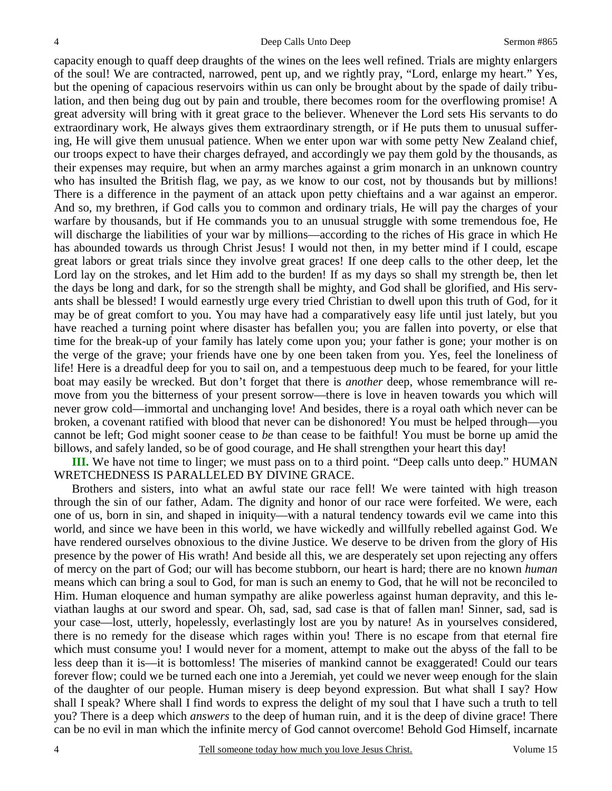capacity enough to quaff deep draughts of the wines on the lees well refined. Trials are mighty enlargers of the soul! We are contracted, narrowed, pent up, and we rightly pray, "Lord, enlarge my heart." Yes, but the opening of capacious reservoirs within us can only be brought about by the spade of daily tribulation, and then being dug out by pain and trouble, there becomes room for the overflowing promise! A great adversity will bring with it great grace to the believer. Whenever the Lord sets His servants to do extraordinary work, He always gives them extraordinary strength, or if He puts them to unusual suffering, He will give them unusual patience. When we enter upon war with some petty New Zealand chief, our troops expect to have their charges defrayed, and accordingly we pay them gold by the thousands, as their expenses may require, but when an army marches against a grim monarch in an unknown country who has insulted the British flag, we pay, as we know to our cost, not by thousands but by millions! There is a difference in the payment of an attack upon petty chieftains and a war against an emperor. And so, my brethren, if God calls you to common and ordinary trials, He will pay the charges of your warfare by thousands, but if He commands you to an unusual struggle with some tremendous foe, He will discharge the liabilities of your war by millions—according to the riches of His grace in which He has abounded towards us through Christ Jesus! I would not then, in my better mind if I could, escape great labors or great trials since they involve great graces! If one deep calls to the other deep, let the Lord lay on the strokes, and let Him add to the burden! If as my days so shall my strength be, then let the days be long and dark, for so the strength shall be mighty, and God shall be glorified, and His servants shall be blessed! I would earnestly urge every tried Christian to dwell upon this truth of God, for it may be of great comfort to you. You may have had a comparatively easy life until just lately, but you have reached a turning point where disaster has befallen you; you are fallen into poverty, or else that time for the break-up of your family has lately come upon you; your father is gone; your mother is on the verge of the grave; your friends have one by one been taken from you. Yes, feel the loneliness of life! Here is a dreadful deep for you to sail on, and a tempestuous deep much to be feared, for your little boat may easily be wrecked. But don't forget that there is *another* deep, whose remembrance will remove from you the bitterness of your present sorrow—there is love in heaven towards you which will never grow cold—immortal and unchanging love! And besides, there is a royal oath which never can be broken, a covenant ratified with blood that never can be dishonored! You must be helped through—you cannot be left; God might sooner cease to *be* than cease to be faithful! You must be borne up amid the billows, and safely landed, so be of good courage, and He shall strengthen your heart this day!

**III.** We have not time to linger; we must pass on to a third point. "Deep calls unto deep." HUMAN WRETCHEDNESS IS PARALLELED BY DIVINE GRACE.

 Brothers and sisters, into what an awful state our race fell! We were tainted with high treason through the sin of our father, Adam. The dignity and honor of our race were forfeited. We were, each one of us, born in sin, and shaped in iniquity—with a natural tendency towards evil we came into this world, and since we have been in this world, we have wickedly and willfully rebelled against God. We have rendered ourselves obnoxious to the divine Justice. We deserve to be driven from the glory of His presence by the power of His wrath! And beside all this, we are desperately set upon rejecting any offers of mercy on the part of God; our will has become stubborn, our heart is hard; there are no known *human* means which can bring a soul to God, for man is such an enemy to God, that he will not be reconciled to Him. Human eloquence and human sympathy are alike powerless against human depravity, and this leviathan laughs at our sword and spear. Oh, sad, sad, sad case is that of fallen man! Sinner, sad, sad is your case—lost, utterly, hopelessly, everlastingly lost are you by nature! As in yourselves considered, there is no remedy for the disease which rages within you! There is no escape from that eternal fire which must consume you! I would never for a moment, attempt to make out the abyss of the fall to be less deep than it is—it is bottomless! The miseries of mankind cannot be exaggerated! Could our tears forever flow; could we be turned each one into a Jeremiah, yet could we never weep enough for the slain of the daughter of our people. Human misery is deep beyond expression. But what shall I say? How shall I speak? Where shall I find words to express the delight of my soul that I have such a truth to tell you? There is a deep which *answers* to the deep of human ruin, and it is the deep of divine grace! There can be no evil in man which the infinite mercy of God cannot overcome! Behold God Himself, incarnate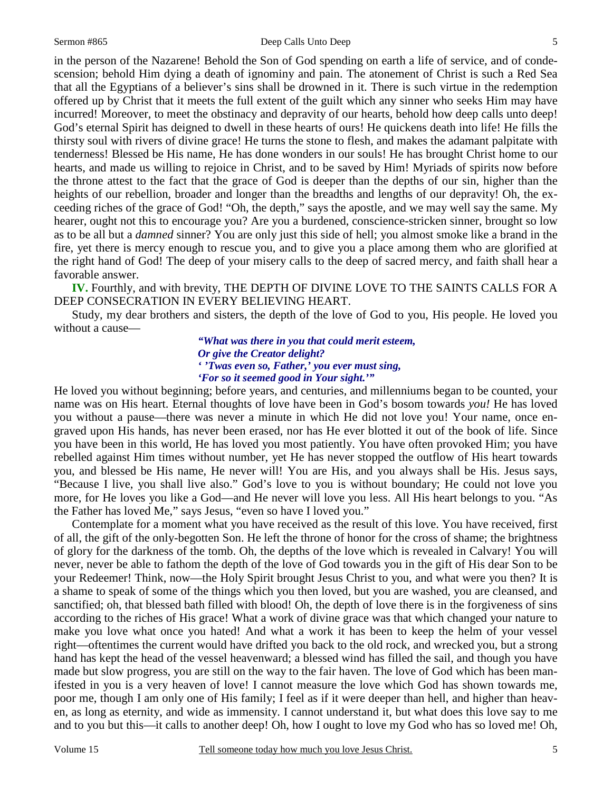#### Sermon #865 Deep Calls Unto Deep

in the person of the Nazarene! Behold the Son of God spending on earth a life of service, and of condescension; behold Him dying a death of ignominy and pain. The atonement of Christ is such a Red Sea that all the Egyptians of a believer's sins shall be drowned in it. There is such virtue in the redemption offered up by Christ that it meets the full extent of the guilt which any sinner who seeks Him may have incurred! Moreover, to meet the obstinacy and depravity of our hearts, behold how deep calls unto deep! God's eternal Spirit has deigned to dwell in these hearts of ours! He quickens death into life! He fills the thirsty soul with rivers of divine grace! He turns the stone to flesh, and makes the adamant palpitate with tenderness! Blessed be His name, He has done wonders in our souls! He has brought Christ home to our hearts, and made us willing to rejoice in Christ, and to be saved by Him! Myriads of spirits now before the throne attest to the fact that the grace of God is deeper than the depths of our sin, higher than the heights of our rebellion, broader and longer than the breadths and lengths of our depravity! Oh, the exceeding riches of the grace of God! "Oh, the depth," says the apostle, and we may well say the same. My hearer, ought not this to encourage you? Are you a burdened, conscience-stricken sinner, brought so low as to be all but a *damned* sinner? You are only just this side of hell; you almost smoke like a brand in the fire, yet there is mercy enough to rescue you, and to give you a place among them who are glorified at the right hand of God! The deep of your misery calls to the deep of sacred mercy, and faith shall hear a favorable answer.

**IV.** Fourthly, and with brevity, THE DEPTH OF DIVINE LOVE TO THE SAINTS CALLS FOR A DEEP CONSECRATION IN EVERY BELIEVING HEART.

 Study, my dear brothers and sisters, the depth of the love of God to you, His people. He loved you without a cause—

> *"What was there in you that could merit esteem, Or give the Creator delight? ' 'Twas even so, Father,' you ever must sing, 'For so it seemed good in Your sight.'"*

He loved you without beginning; before years, and centuries, and millenniums began to be counted, your name was on His heart. Eternal thoughts of love have been in God's bosom towards *you!* He has loved you without a pause—there was never a minute in which He did not love you! Your name, once engraved upon His hands, has never been erased, nor has He ever blotted it out of the book of life. Since you have been in this world, He has loved you most patiently. You have often provoked Him; you have rebelled against Him times without number, yet He has never stopped the outflow of His heart towards you, and blessed be His name, He never will! You are His, and you always shall be His. Jesus says, "Because I live, you shall live also." God's love to you is without boundary; He could not love you more, for He loves you like a God—and He never will love you less. All His heart belongs to you. "As the Father has loved Me," says Jesus, "even so have I loved you."

 Contemplate for a moment what you have received as the result of this love. You have received, first of all, the gift of the only-begotten Son. He left the throne of honor for the cross of shame; the brightness of glory for the darkness of the tomb. Oh, the depths of the love which is revealed in Calvary! You will never, never be able to fathom the depth of the love of God towards you in the gift of His dear Son to be your Redeemer! Think, now—the Holy Spirit brought Jesus Christ to you, and what were you then? It is a shame to speak of some of the things which you then loved, but you are washed, you are cleansed, and sanctified; oh, that blessed bath filled with blood! Oh, the depth of love there is in the forgiveness of sins according to the riches of His grace! What a work of divine grace was that which changed your nature to make you love what once you hated! And what a work it has been to keep the helm of your vessel right—oftentimes the current would have drifted you back to the old rock, and wrecked you, but a strong hand has kept the head of the vessel heavenward; a blessed wind has filled the sail, and though you have made but slow progress, you are still on the way to the fair haven. The love of God which has been manifested in you is a very heaven of love! I cannot measure the love which God has shown towards me, poor me, though I am only one of His family; I feel as if it were deeper than hell, and higher than heaven, as long as eternity, and wide as immensity. I cannot understand it, but what does this love say to me and to you but this—it calls to another deep! Oh, how I ought to love my God who has so loved me! Oh,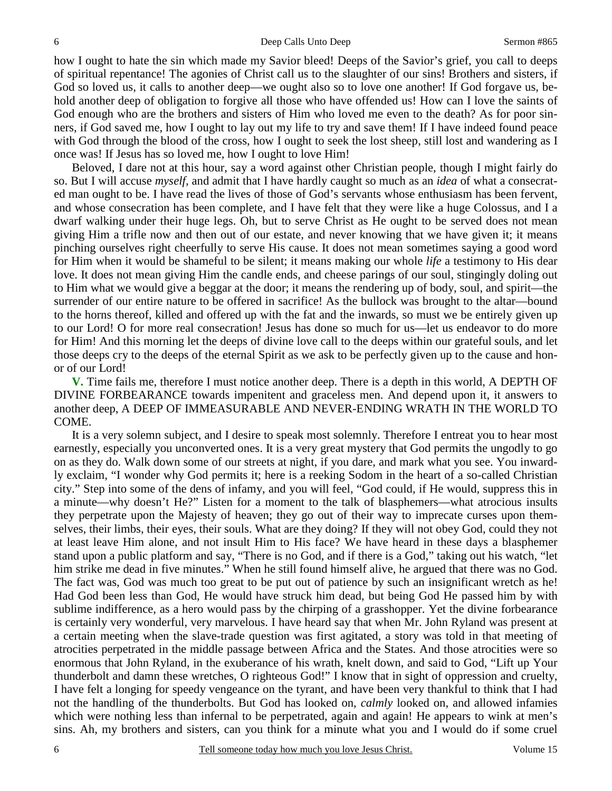how I ought to hate the sin which made my Savior bleed! Deeps of the Savior's grief, you call to deeps of spiritual repentance! The agonies of Christ call us to the slaughter of our sins! Brothers and sisters, if God so loved us, it calls to another deep—we ought also so to love one another! If God forgave us, behold another deep of obligation to forgive all those who have offended us! How can I love the saints of God enough who are the brothers and sisters of Him who loved me even to the death? As for poor sinners, if God saved me, how I ought to lay out my life to try and save them! If I have indeed found peace with God through the blood of the cross, how I ought to seek the lost sheep, still lost and wandering as I once was! If Jesus has so loved me, how I ought to love Him!

 Beloved, I dare not at this hour, say a word against other Christian people, though I might fairly do so. But I will accuse *myself,* and admit that I have hardly caught so much as an *idea* of what a consecrated man ought to be. I have read the lives of those of God's servants whose enthusiasm has been fervent, and whose consecration has been complete, and I have felt that they were like a huge Colossus, and I a dwarf walking under their huge legs. Oh, but to serve Christ as He ought to be served does not mean giving Him a trifle now and then out of our estate, and never knowing that we have given it; it means pinching ourselves right cheerfully to serve His cause. It does not mean sometimes saying a good word for Him when it would be shameful to be silent; it means making our whole *life* a testimony to His dear love. It does not mean giving Him the candle ends, and cheese parings of our soul, stingingly doling out to Him what we would give a beggar at the door; it means the rendering up of body, soul, and spirit—the surrender of our entire nature to be offered in sacrifice! As the bullock was brought to the altar—bound to the horns thereof, killed and offered up with the fat and the inwards, so must we be entirely given up to our Lord! O for more real consecration! Jesus has done so much for us—let us endeavor to do more for Him! And this morning let the deeps of divine love call to the deeps within our grateful souls, and let those deeps cry to the deeps of the eternal Spirit as we ask to be perfectly given up to the cause and honor of our Lord!

**V.** Time fails me, therefore I must notice another deep. There is a depth in this world, A DEPTH OF DIVINE FORBEARANCE towards impenitent and graceless men. And depend upon it, it answers to another deep, A DEEP OF IMMEASURABLE AND NEVER-ENDING WRATH IN THE WORLD TO COME.

 It is a very solemn subject, and I desire to speak most solemnly. Therefore I entreat you to hear most earnestly, especially you unconverted ones. It is a very great mystery that God permits the ungodly to go on as they do. Walk down some of our streets at night, if you dare, and mark what you see. You inwardly exclaim, "I wonder why God permits it; here is a reeking Sodom in the heart of a so-called Christian city." Step into some of the dens of infamy, and you will feel, "God could, if He would, suppress this in a minute—why doesn't He?" Listen for a moment to the talk of blasphemers—what atrocious insults they perpetrate upon the Majesty of heaven; they go out of their way to imprecate curses upon themselves, their limbs, their eyes, their souls. What are they doing? If they will not obey God, could they not at least leave Him alone, and not insult Him to His face? We have heard in these days a blasphemer stand upon a public platform and say, "There is no God, and if there is a God," taking out his watch, "let him strike me dead in five minutes." When he still found himself alive, he argued that there was no God. The fact was, God was much too great to be put out of patience by such an insignificant wretch as he! Had God been less than God, He would have struck him dead, but being God He passed him by with sublime indifference, as a hero would pass by the chirping of a grasshopper. Yet the divine forbearance is certainly very wonderful, very marvelous. I have heard say that when Mr. John Ryland was present at a certain meeting when the slave-trade question was first agitated, a story was told in that meeting of atrocities perpetrated in the middle passage between Africa and the States. And those atrocities were so enormous that John Ryland, in the exuberance of his wrath, knelt down, and said to God, "Lift up Your thunderbolt and damn these wretches, O righteous God!" I know that in sight of oppression and cruelty, I have felt a longing for speedy vengeance on the tyrant, and have been very thankful to think that I had not the handling of the thunderbolts. But God has looked on, *calmly* looked on, and allowed infamies which were nothing less than infernal to be perpetrated, again and again! He appears to wink at men's sins. Ah, my brothers and sisters, can you think for a minute what you and I would do if some cruel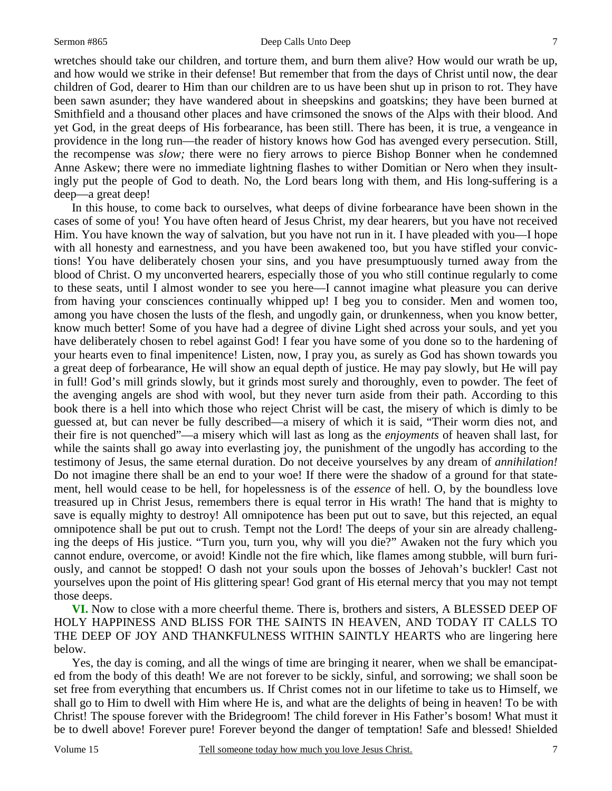#### Sermon #865 Deep Calls Unto Deep

wretches should take our children, and torture them, and burn them alive? How would our wrath be up, and how would we strike in their defense! But remember that from the days of Christ until now, the dear children of God, dearer to Him than our children are to us have been shut up in prison to rot. They have been sawn asunder; they have wandered about in sheepskins and goatskins; they have been burned at Smithfield and a thousand other places and have crimsoned the snows of the Alps with their blood. And yet God, in the great deeps of His forbearance, has been still. There has been, it is true, a vengeance in providence in the long run—the reader of history knows how God has avenged every persecution. Still, the recompense was *slow;* there were no fiery arrows to pierce Bishop Bonner when he condemned Anne Askew; there were no immediate lightning flashes to wither Domitian or Nero when they insultingly put the people of God to death. No, the Lord bears long with them, and His long-suffering is a deep—a great deep!

 In this house, to come back to ourselves, what deeps of divine forbearance have been shown in the cases of some of you! You have often heard of Jesus Christ, my dear hearers, but you have not received Him. You have known the way of salvation, but you have not run in it. I have pleaded with you—I hope with all honesty and earnestness, and you have been awakened too, but you have stifled your convictions! You have deliberately chosen your sins, and you have presumptuously turned away from the blood of Christ. O my unconverted hearers, especially those of you who still continue regularly to come to these seats, until I almost wonder to see you here—I cannot imagine what pleasure you can derive from having your consciences continually whipped up! I beg you to consider. Men and women too, among you have chosen the lusts of the flesh, and ungodly gain, or drunkenness, when you know better, know much better! Some of you have had a degree of divine Light shed across your souls, and yet you have deliberately chosen to rebel against God! I fear you have some of you done so to the hardening of your hearts even to final impenitence! Listen, now, I pray you, as surely as God has shown towards you a great deep of forbearance, He will show an equal depth of justice. He may pay slowly, but He will pay in full! God's mill grinds slowly, but it grinds most surely and thoroughly, even to powder. The feet of the avenging angels are shod with wool, but they never turn aside from their path. According to this book there is a hell into which those who reject Christ will be cast, the misery of which is dimly to be guessed at, but can never be fully described—a misery of which it is said, "Their worm dies not, and their fire is not quenched"—a misery which will last as long as the *enjoyments* of heaven shall last, for while the saints shall go away into everlasting joy, the punishment of the ungodly has according to the testimony of Jesus, the same eternal duration. Do not deceive yourselves by any dream of *annihilation!* Do not imagine there shall be an end to your woe! If there were the shadow of a ground for that statement, hell would cease to be hell, for hopelessness is of the *essence* of hell. O, by the boundless love treasured up in Christ Jesus, remembers there is equal terror in His wrath! The hand that is mighty to save is equally mighty to destroy! All omnipotence has been put out to save, but this rejected, an equal omnipotence shall be put out to crush. Tempt not the Lord! The deeps of your sin are already challenging the deeps of His justice. "Turn you, turn you, why will you die?" Awaken not the fury which you cannot endure, overcome, or avoid! Kindle not the fire which, like flames among stubble, will burn furiously, and cannot be stopped! O dash not your souls upon the bosses of Jehovah's buckler! Cast not yourselves upon the point of His glittering spear! God grant of His eternal mercy that you may not tempt those deeps.

**VI.** Now to close with a more cheerful theme. There is, brothers and sisters, A BLESSED DEEP OF HOLY HAPPINESS AND BLISS FOR THE SAINTS IN HEAVEN, AND TODAY IT CALLS TO THE DEEP OF JOY AND THANKFULNESS WITHIN SAINTLY HEARTS who are lingering here below.

 Yes, the day is coming, and all the wings of time are bringing it nearer, when we shall be emancipated from the body of this death! We are not forever to be sickly, sinful, and sorrowing; we shall soon be set free from everything that encumbers us. If Christ comes not in our lifetime to take us to Himself, we shall go to Him to dwell with Him where He is, and what are the delights of being in heaven! To be with Christ! The spouse forever with the Bridegroom! The child forever in His Father's bosom! What must it be to dwell above! Forever pure! Forever beyond the danger of temptation! Safe and blessed! Shielded